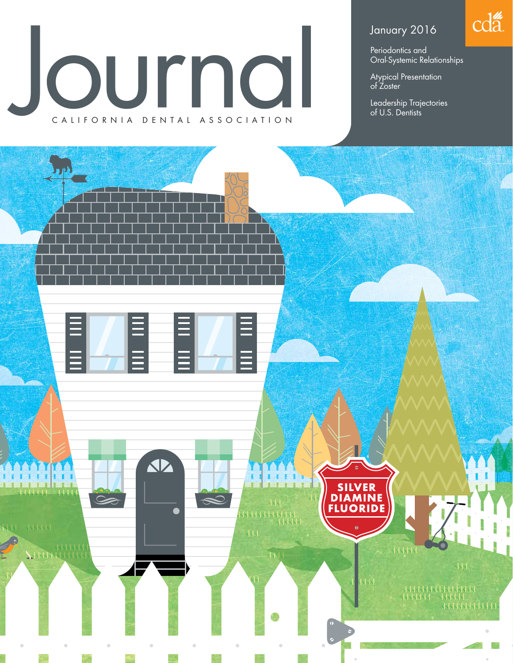# purna CALIFORNIA DENTAL ASSOCIATION

### January 2016

Periodontics and Oral-Systemic Relationships cda.

Atypical Presentation of Zoster

Leadership Trajectories of U.S. Dentists

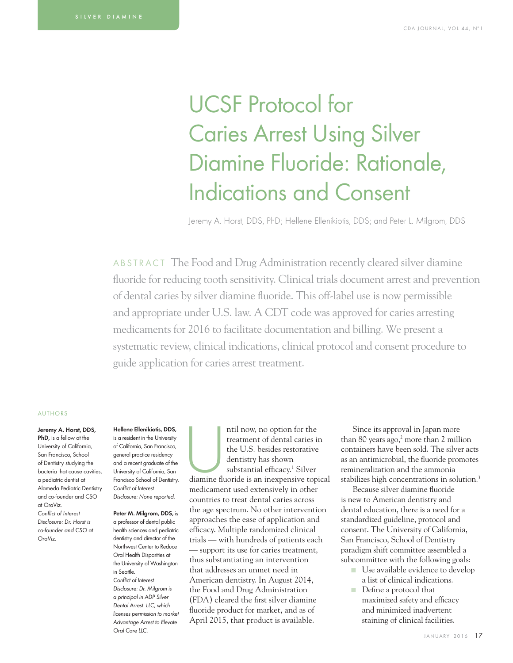## UCSF Protocol for Caries Arrest Using Silver Diamine Fluoride: Rationale, Indications and Consent

Jeremy A. Horst, DDS, PhD; Hellene Ellenikiotis, DDS; and Peter L. Milgrom, DDS

ABSTRACT The Food and Drug Administration recently cleared silver diamine fluoride for reducing tooth sensitivity. Clinical trials document arrest and prevention of dental caries by silver diamine fluoride. This off-label use is now permissible and appropriate under U.S. law. A CDT code was approved for caries arresting medicaments for 2016 to facilitate documentation and billing. We present a systematic review, clinical indications, clinical protocol and consent procedure to guide application for caries arrest treatment.

#### AUTHORS

Jeremy A. Horst, DDS, PhD, is a fellow at the University of California, San Francisco, School of Dentistry studying the bacteria that cause cavities, a pediatric dentist at Alameda Pediatric Dentistry and co-founder and CSO at OraViz. Conflict of Interest Disclosure: Dr. Horst is co-founder and CSO at OraViz.

#### Hellene Ellenikiotis, DDS,

is a resident in the University of California, San Francisco, general practice residency and a recent graduate of the University of California, San Francisco School of Dentistry. Conflict of Interest Disclosure: None reported.

Peter M. Milarom, DDS, is a professor of dental public health sciences and pediatric dentistry and director of the Northwest Center to Reduce Oral Health Disparities at the University of Washington in Seattle. Conflict of Interest Disclosure: Dr. Milgrom is a principal in ADP Silver Dental Arrest LLC, which licenses permission to market Advantage Arrest to Elevate Oral Care LLC.

ntil now, no option for the<br>
treatment of dental caries in<br>
the U.S. besides restorative<br>
dentistry has shown<br>
substantial efficacy.<sup>1</sup> Silver<br>
diamine fluoride is an inexpensive topical treatment of dental caries in the U.S. besides restorative dentistry has shown substantial efficacy.<sup>1</sup> Silver medicament used extensively in other countries to treat dental caries across the age spectrum. No other intervention approaches the ease of application and efficacy. Multiple randomized clinical trials — with hundreds of patients each — support its use for caries treatment, thus substantiating an intervention that addresses an unmet need in American dentistry. In August 2014, the Food and Drug Administration (FDA) cleared the first silver diamine fluoride product for market, and as of April 2015, that product is available.

Since its approval in Japan more than 80 years ago, $2$  more than 2 million containers have been sold. The silver acts as an antimicrobial, the fluoride promotes remineralization and the ammonia stabilizes high concentrations in solution.<sup>3</sup>

Because silver diamine fluoride is new to American dentistry and dental education, there is a need for a standardized guideline, protocol and consent. The University of California, San Francisco, School of Dentistry paradigm shift committee assembled a subcommittee with the following goals:

- Use available evidence to develop a list of clinical indications.
- Define a protocol that maximized safety and efficacy and minimized inadvertent staining of clinical facilities.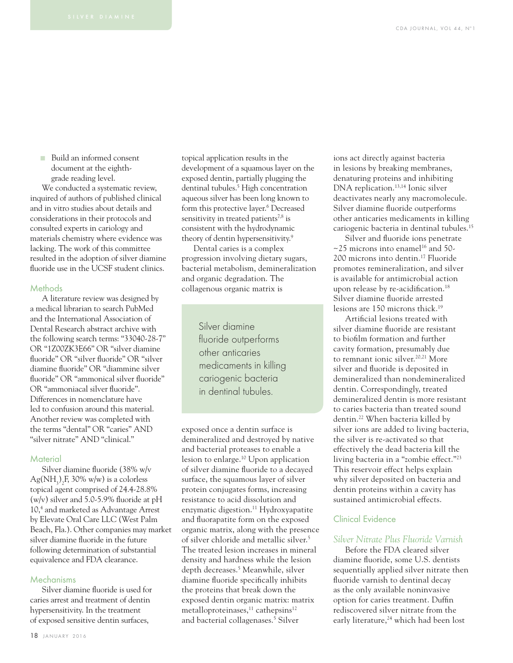■ Build an informed consent document at the eighthgrade reading level.

We conducted a systematic review, inquired of authors of published clinical and in vitro studies about details and considerations in their protocols and consulted experts in cariology and materials chemistry where evidence was lacking. The work of this committee resulted in the adoption of silver diamine fluoride use in the UCSF student clinics.

#### **Methods**

A literature review was designed by a medical librarian to search PubMed and the International Association of Dental Research abstract archive with the following search terms: "33040-28-7" OR "1Z00ZK3E66" OR "silver diamine fluoride" OR "silver fluoride" OR "silver diamine fluoride" OR "diammine silver fluoride" OR "ammonical silver fluoride" OR "ammoniacal silver fluoride". Differences in nomenclature have led to confusion around this material. Another review was completed with the terms "dental" OR "caries" AND "silver nitrate" AND "clinical."

#### **Material**

Silver diamine fluoride (38% w/v  $\text{Ag(NH}_{3})_{2}$ F, 30% w/w) is a colorless topical agent comprised of 24.4-28.8% (w/v) silver and  $5.0 - 5.9\%$  fluoride at pH 10,4 and marketed as Advantage Arrest by Elevate Oral Care LLC (West Palm Beach, Fla.). Other companies may market silver diamine fluoride in the future following determination of substantial equivalence and FDA clearance.

#### Mechanisms

Silver diamine fluoride is used for caries arrest and treatment of dentin hypersensitivity. In the treatment of exposed sensitive dentin surfaces,

topical application results in the development of a squamous layer on the exposed dentin, partially plugging the dentinal tubules.<sup>5</sup> High concentration aqueous silver has been long known to form this protective layer.<sup>6</sup> Decreased sensitivity in treated patients<sup>7,8</sup> is consistent with the hydrodynamic theory of dentin hypersensitivity.9

Dental caries is a complex progression involving dietary sugars, bacterial metabolism, demineralization and organic degradation. The collagenous organic matrix is

> Silver diamine fluoride outperforms other anticaries medicaments in killing cariogenic bacteria in dentinal tubules.

exposed once a dentin surface is demineralized and destroyed by native and bacterial proteases to enable a lesion to enlarge.10 Upon application of silver diamine fluoride to a decayed surface, the squamous layer of silver protein conjugates forms, increasing resistance to acid dissolution and enzymatic digestion.<sup>11</sup> Hydroxyapatite and fluorapatite form on the exposed organic matrix, along with the presence of silver chloride and metallic silver.5 The treated lesion increases in mineral density and hardness while the lesion depth decreases.5 Meanwhile, silver diamine fluoride specifically inhibits the proteins that break down the exposed dentin organic matrix: matrix metalloproteinases,<sup>11</sup> cathepsins<sup>12</sup> and bacterial collagenases.5 Silver

ions act directly against bacteria in lesions by breaking membranes, denaturing proteins and inhibiting DNA replication.13,14 Ionic silver deactivates nearly any macromolecule. Silver diamine fluoride outperforms other anticaries medicaments in killing cariogenic bacteria in dentinal tubules.15

Silver and fluoride ions penetrate  $\sim$ 25 microns into enamel<sup>16</sup> and 50-200 microns into dentin.17 Fluoride promotes remineralization, and silver is available for antimicrobial action upon release by re-acidification.<sup>18</sup> Silver diamine fluoride arrested lesions are 150 microns thick.19

Artificial lesions treated with silver diamine fluoride are resistant to biofilm formation and further cavity formation, presumably due to remnant ionic silver.<sup>20,21</sup> More silver and fluoride is deposited in demineralized than nondemineralized dentin. Correspondingly, treated demineralized dentin is more resistant to caries bacteria than treated sound dentin.22 When bacteria killed by silver ions are added to living bacteria, the silver is re-activated so that effectively the dead bacteria kill the living bacteria in a "zombie effect."23 This reservoir effect helps explain why silver deposited on bacteria and dentin proteins within a cavity has sustained antimicrobial effects.

#### Clinical Evidence

#### *Silver Nitrate Plus Fluoride Varnish*

Before the FDA cleared silver diamine fluoride, some U.S. dentists sequentially applied silver nitrate then fluoride varnish to dentinal decay as the only available noninvasive option for caries treatment. Duffin rediscovered silver nitrate from the early literature,<sup>24</sup> which had been lost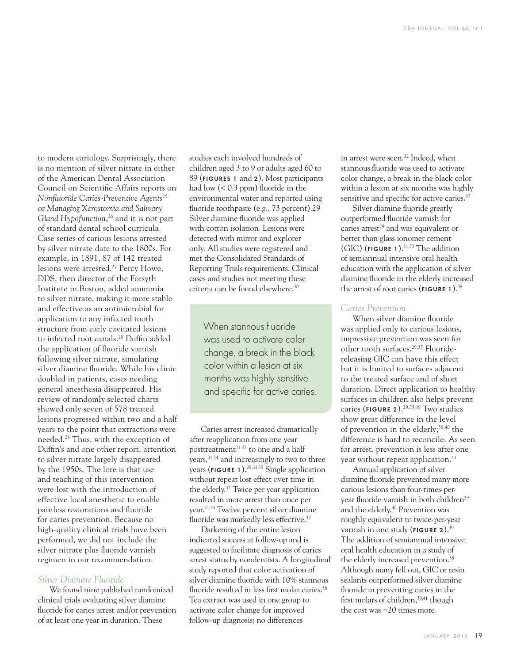to modern cariology. Surprisingly, there is no mention of silver nitrate in either of the American Dental Association Council on Scientific Affairs reports on *Nonfl uoride Caries-Preventive Agents*<sup>25</sup> or *Managing Xerostomia and Salivary Gland Hypofunction*, 26 and it is not part of standard dental school curricula. Case series of carious lesions arrested by silver nitrate date to the 1800s. For example, in 1891, 87 of 142 treated lesions were arrested.<sup>27</sup> Percy Howe, DDS, then director of the Forsyth Institute in Boston, added ammonia to silver nitrate, making it more stable and effective as an antimicrobial for application to any infected tooth structure from early cavitated lesions to infected root canals.<sup>28</sup> Duffin added the application of fluoride varnish following silver nitrate, simulating silver diamine fluoride. While his clinic doubled in patients, cases needing general anesthesia disappeared. His review of randomly selected charts showed only seven of 578 treated lesions progressed within two and a half years to the point that extractions were needed.24 Thus, with the exception of Duffin's and one other report, attention to silver nitrate largely disappeared by the 1950s. The lore is that use and teaching of this intervention were lost with the introduction of effective local anesthetic to enable painless restorations and fluoride for caries prevention. Because no high-quality clinical trials have been performed, we did not include the silver nitrate plus fluoride varnish regimen in our recommendation.

#### *Silver Diamine Fluoride*

We found nine published randomized clinical trials evaluating silver diamine fluoride for caries arrest and/or prevention of at least one year in duration. These

studies each involved hundreds of children aged 3 to 9 or adults aged 60 to 89 (FIGURES 1 and 2). Most participants had low  $(< 0.3$  ppm) fluoride in the environmental water and reported using fluoride toothpaste (e.g., 73 percent).29 Silver diamine fluoride was applied with cotton isolation. Lesions were detected with mirror and explorer only. All studies were registered and met the Consolidated Standards of Reporting Trials requirements. Clinical cases and studies not meeting these criteria can be found elsewhere.30

> When stannous fluoride was used to activate color change, a break in the black color within a lesion at six months was highly sensitive and specific for active caries.

Caries arrest increased dramatically after reapplication from one year posttreatment<sup>31-33</sup> to one and a half years,31,34 and increasingly to two to three years (FIGURE 1).<sup>29,31,35</sup> Single application without repeat lost effect over time in the elderly.32 Twice per year application resulted in more arrest than once per year.31,35 Twelve percent silver diamine fluoride was markedly less effective.<sup>32</sup>

Darkening of the entire lesion indicated success at follow-up and is suggested to facilitate diagnosis of caries arrest status by nondentists. A longitudinal study reported that color activation of silver diamine fluoride with 10% stannous fluoride resulted in less first molar caries.<sup>36</sup> Tea extract was used in one group to activate color change for improved follow-up diagnosis; no differences

in arrest were seen.<sup>32</sup> Indeed, when stannous fluoride was used to activate color change, a break in the black color within a lesion at six months was highly sensitive and specific for active caries.<sup>37</sup>

Silver diamine fluoride greatly outperformed fluoride varnish for caries arrest $29$  and was equivalent or better than glass ionomer cement (GIC) (FIGURE 1). $31,33$  The addition of semiannual intensive oral health education with the application of silver diamine fluoride in the elderly increased the arrest of root caries (FIGURE 1).<sup>38</sup>

#### *Caries Prevention*

When silver diamine fluoride was applied only to carious lesions, impressive prevention was seen for other tooth surfaces.29,35 Fluoridereleasing GIC can have this effect but it is limited to surfaces adjacent to the treated surface and of short duration. Direct application to healthy surfaces in children also helps prevent caries ( $FIGURE 2$ ).<sup>29,35,39</sup> Two studies show great difference in the level of prevention in the elderly;<sup>38,40</sup> the difference is hard to reconcile. As seen for arrest, prevention is less after one year without repeat application.<sup>41</sup>

Annual application of silver diamine fluoride prevented many more carious lesions than four-times-peryear fluoride varnish in both children<sup>29</sup> and the elderly.40 Prevention was roughly equivalent to twice-per-year varnish in one study (FIGURE 2).<sup>39</sup> The addition of semiannual intensive oral health education in a study of the elderly increased prevention.38 Although many fell out, GIC or resin sealants outperformed silver diamine fluoride in preventing caries in the first molars of children.<sup>39,41</sup> though the cost was ~20 times more.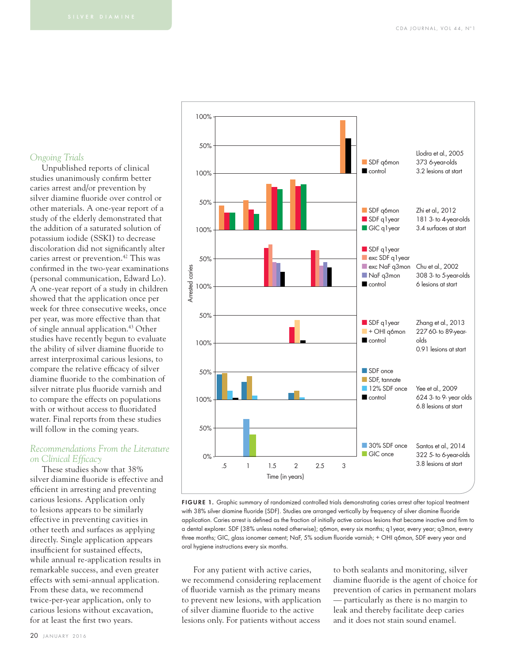#### *Ongoing Trials*

Unpublished reports of clinical studies unanimously confirm better caries arrest and/or prevention by silver diamine fluoride over control or other materials. A one-year report of a study of the elderly demonstrated that the addition of a saturated solution of potassium iodide (SSKI) to decrease discoloration did not significantly alter caries arrest or prevention.<sup>42</sup> This was confirmed in the two-year examinations (personal communication, Edward Lo). A one-year report of a study in children showed that the application once per week for three consecutive weeks, once per year, was more effective than that of single annual application.43 Other studies have recently begun to evaluate the ability of silver diamine fluoride to arrest interproximal carious lesions, to compare the relative efficacy of silver diamine fluoride to the combination of silver nitrate plus fluoride varnish and to compare the effects on populations with or without access to fluoridated water. Final reports from these studies will follow in the coming years.

#### *Recommendations From the Literature*  **on Clinical Efficacy**

These studies show that 38% silver diamine fluoride is effective and efficient in arresting and preventing carious lesions. Application only to lesions appears to be similarly effective in preventing cavities in other teeth and surfaces as applying directly. Single application appears insufficient for sustained effects. while annual re-application results in remarkable success, and even greater effects with semi-annual application. From these data, we recommend twice-per-year application, only to carious lesions without excavation, for at least the first two years.





FIGURE 1. Graphic summary of randomized controlled trials demonstrating caries arrest after topical treatment with 38% silver diamine fluoride (SDF). Studies are arranged vertically by frequency of silver diamine fluoride application. Caries arrest is defined as the fraction of initially active carious lesions that became inactive and firm to a dental explorer. SDF (38% unless noted otherwise); q6mon, every six months; q1year, every year; q3mon, every three months; GIC, glass ionomer cement; NaF, 5% sodium fluoride varnish; + OHI q6mon, SDF every year and oral hygiene instructions every six months.

For any patient with active caries, we recommend considering replacement of fluoride varnish as the primary means to prevent new lesions, with application of silver diamine fluoride to the active lesions only. For patients without access

to both sealants and monitoring, silver diamine fluoride is the agent of choice for prevention of caries in permanent molars — particularly as there is no margin to leak and thereby facilitate deep caries and it does not stain sound enamel.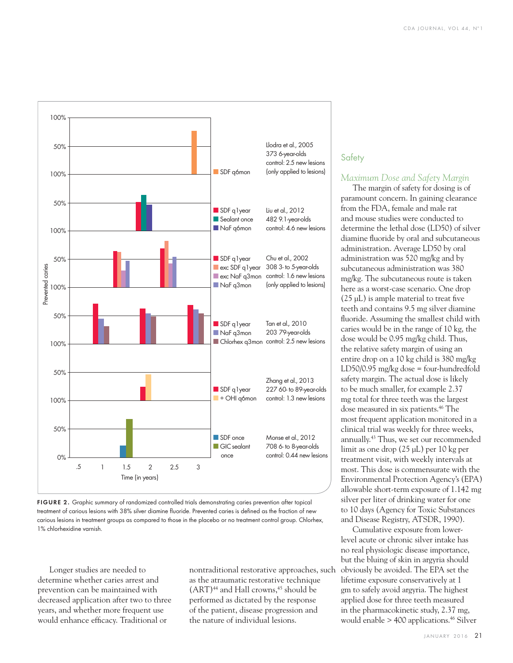

FIGURE 2. Graphic summary of randomized controlled trials demonstrating caries prevention after topical treatment of carious lesions with 38% silver diamine fluoride. Prevented caries is defined as the fraction of new carious lesions in treatment groups as compared to those in the placebo or no treatment control group. Chlorhex, 1% chlorhexidine varnish.

Longer studies are needed to determine whether caries arrest and prevention can be maintained with decreased application after two to three years, and whether more frequent use would enhance efficacy. Traditional or

nontraditional restorative approaches, such as the atraumatic restorative technique  $(ART)^{44}$  and Hall crowns,  $45$  should be performed as dictated by the response of the patient, disease progression and the nature of individual lesions.

#### **Safety**

#### *Maximum Dose and Safety Margin*

The margin of safety for dosing is of paramount concern. In gaining clearance from the FDA, female and male rat and mouse studies were conducted to determine the lethal dose (LD50) of silver diamine fluoride by oral and subcutaneous administration. Average LD50 by oral administration was 520 mg/kg and by subcutaneous administration was 380 mg/kg. The subcutaneous route is taken here as a worst-case scenario. One drop  $(25 \mu L)$  is ample material to treat five teeth and contains 9.5 mg silver diamine fluoride. Assuming the smallest child with caries would be in the range of 10 kg, the dose would be 0.95 mg/kg child. Thus, the relative safety margin of using an entire drop on a 10 kg child is 380 mg/kg LD50/0.95 mg/kg dose = four-hundredfold safety margin. The actual dose is likely to be much smaller, for example 2.37 mg total for three teeth was the largest dose measured in six patients.<sup>46</sup> The most frequent application monitored in a clinical trial was weekly for three weeks, annually.43 Thus, we set our recommended limit as one drop (25 μL) per 10 kg per treatment visit, with weekly intervals at most. This dose is commensurate with the Environmental Protection Agency's (EPA) allowable short-term exposure of 1.142 mg silver per liter of drinking water for one to 10 days (Agency for Toxic Substances and Disease Registry, ATSDR, 1990).

Cumulative exposure from lowerlevel acute or chronic silver intake has no real physiologic disease importance, but the bluing of skin in argyria should obviously be avoided. The EPA set the lifetime exposure conservatively at 1 gm to safely avoid argyria. The highest applied dose for three teeth measured in the pharmacokinetic study, 2.37 mg, would enable  $> 400$  applications.<sup>46</sup> Silver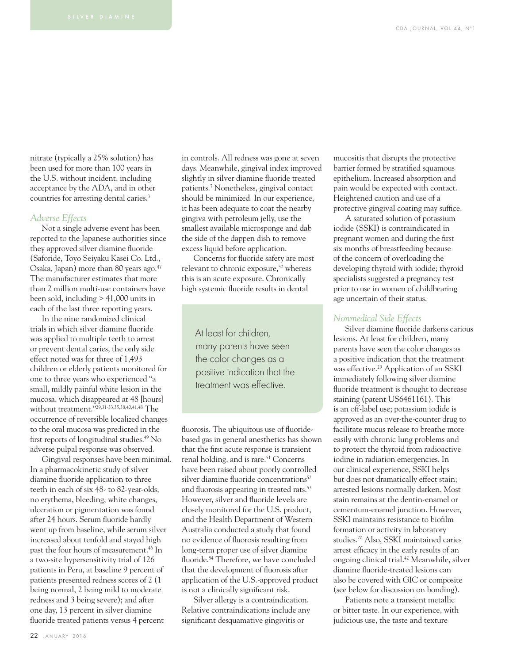nitrate (typically a 25% solution) has been used for more than 100 years in the U.S. without incident, including acceptance by the ADA, and in other countries for arresting dental caries.<sup>3</sup>

#### *Adverse Effects*

Not a single adverse event has been reported to the Japanese authorities since they approved silver diamine fluoride (Saforide, Toyo Seiyaku Kasei Co. Ltd., Osaka, Japan) more than 80 years ago.47 The manufacturer estimates that more than 2 million multi-use containers have been sold, including > 41,000 units in each of the last three reporting years.

In the nine randomized clinical trials in which silver diamine fluoride was applied to multiple teeth to arrest or prevent dental caries, the only side effect noted was for three of 1,493 children or elderly patients monitored for one to three years who experienced "a small, mildly painful white lesion in the mucosa, which disappeared at 48 [hours] without treatment."29,31-33,35,38,40,41,48 The occurrence of reversible localized changes to the oral mucosa was predicted in the first reports of longitudinal studies.<sup>49</sup> No adverse pulpal response was observed.

Gingival responses have been minimal. In a pharmacokinetic study of silver diamine fluoride application to three teeth in each of six 48- to 82-year-olds, no erythema, bleeding, white changes, ulceration or pigmentation was found after 24 hours. Serum fluoride hardly went up from baseline, while serum silver increased about tenfold and stayed high past the four hours of measurement.46 In a two-site hypersensitivity trial of 126 patients in Peru, at baseline 9 percent of patients presented redness scores of 2 (1 being normal, 2 being mild to moderate redness and 3 being severe); and after one day, 13 percent in silver diamine fluoride treated patients versus 4 percent

in controls. All redness was gone at seven days. Meanwhile, gingival index improved slightly in silver diamine fluoride treated patients.7 Nonetheless, gingival contact should be minimized. In our experience, it has been adequate to coat the nearby gingiva with petroleum jelly, use the smallest available microsponge and dab the side of the dappen dish to remove excess liquid before application.

Concerns for fluoride safety are most relevant to chronic exposure,<sup>50</sup> whereas this is an acute exposure. Chronically high systemic fluoride results in dental

At least for children, many parents have seen the color changes as a positive indication that the treatment was effective

fluorosis. The ubiquitous use of fluoridebased gas in general anesthetics has shown that the first acute response is transient renal holding, and is rare.<sup>51</sup> Concerns have been raised about poorly controlled silver diamine fluoride concentrations<sup>52</sup> and fluorosis appearing in treated rats.<sup>53</sup> However, silver and fluoride levels are closely monitored for the U.S. product, and the Health Department of Western Australia conducted a study that found no evidence of fluorosis resulting from long-term proper use of silver diamine fluoride.<sup>54</sup> Therefore, we have concluded that the development of fluorosis after application of the U.S.-approved product is not a clinically significant risk.

Silver allergy is a contraindication. Relative contraindications include any significant desquamative gingivitis or

mucositis that disrupts the protective barrier formed by stratified squamous epithelium. Increased absorption and pain would be expected with contact. Heightened caution and use of a protective gingival coating may suffice.

A saturated solution of potassium iodide (SSKI) is contraindicated in pregnant women and during the first six months of breastfeeding because of the concern of overloading the developing thyroid with iodide; thyroid specialists suggested a pregnancy test prior to use in women of childbearing age uncertain of their status.

#### *Nonmedical Side Effects*

Silver diamine fluoride darkens carious lesions. At least for children, many parents have seen the color changes as a positive indication that the treatment was effective.<sup>29</sup> Application of an SSKI immediately following silver diamine fluoride treatment is thought to decrease staining (patent US6461161). This is an off-label use; potassium iodide is approved as an over-the-counter drug to facilitate mucus release to breathe more easily with chronic lung problems and to protect the thyroid from radioactive iodine in radiation emergencies. In our clinical experience, SSKI helps but does not dramatically effect stain; arrested lesions normally darken. Most stain remains at the dentin-enamel or cementum-enamel junction. However, SSKI maintains resistance to biofilm formation or activity in laboratory studies.20 Also, SSKI maintained caries arrest efficacy in the early results of an ongoing clinical trial.42 Meanwhile, silver diamine fluoride-treated lesions can also be covered with GIC or composite (see below for discussion on bonding).

Patients note a transient metallic or bitter taste. In our experience, with judicious use, the taste and texture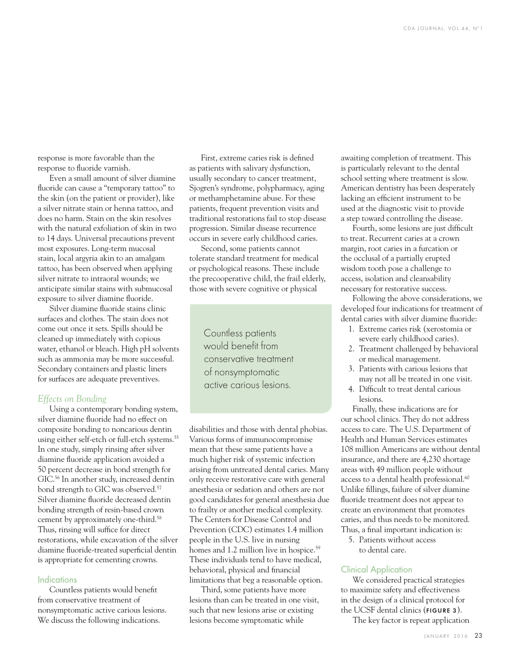response is more favorable than the response to fluoride varnish.

Even a small amount of silver diamine fluoride can cause a "temporary tattoo" to the skin (on the patient or provider), like a silver nitrate stain or henna tattoo, and does no harm. Stain on the skin resolves with the natural exfoliation of skin in two to 14 days. Universal precautions prevent most exposures. Long-term mucosal stain, local argyria akin to an amalgam tattoo, has been observed when applying silver nitrate to intraoral wounds; we anticipate similar stains with submucosal exposure to silver diamine fluoride.

Silver diamine fluoride stains clinic surfaces and clothes. The stain does not come out once it sets. Spills should be cleaned up immediately with copious water, ethanol or bleach. High pH solvents such as ammonia may be more successful. Secondary containers and plastic liners for surfaces are adequate preventives.

#### *Effects on Bonding*

Using a contemporary bonding system, silver diamine fluoride had no effect on composite bonding to noncarious dentin using either self-etch or full-etch systems.<sup>55</sup> In one study, simply rinsing after silver diamine fluoride application avoided a 50 percent decrease in bond strength for GIC.<sup>56</sup> In another study, increased dentin bond strength to GIC was observed.<sup>57</sup> Silver diamine fluoride decreased dentin bonding strength of resin-based crown cement by approximately one-third.<sup>58</sup> Thus, rinsing will suffice for direct restorations, while excavation of the silver diamine fluoride-treated superficial dentin is appropriate for cementing crowns.

#### **Indications**

Countless patients would benefit from conservative treatment of nonsymptomatic active carious lesions. We discuss the following indications.

First, extreme caries risk is defined as patients with salivary dysfunction, usually secondary to cancer treatment, Sjogren's syndrome, polypharmacy, aging or methamphetamine abuse. For these patients, frequent prevention visits and traditional restorations fail to stop disease progression. Similar disease recurrence occurs in severe early childhood caries.

Second, some patients cannot tolerate standard treatment for medical or psychological reasons. These include the precooperative child, the frail elderly, those with severe cognitive or physical

Countless patients would benefit from conservative treatment of nonsymptomatic active carious lesions.

disabilities and those with dental phobias. Various forms of immunocompromise mean that these same patients have a much higher risk of systemic infection arising from untreated dental caries. Many only receive restorative care with general anesthesia or sedation and others are not good candidates for general anesthesia due to frailty or another medical complexity. The Centers for Disease Control and Prevention (CDC) estimates 1.4 million people in the U.S. live in nursing homes and 1.2 million live in hospice.<sup>59</sup> These individuals tend to have medical, behavioral, physical and financial limitations that beg a reasonable option.

Third, some patients have more lesions than can be treated in one visit, such that new lesions arise or existing lesions become symptomatic while

awaiting completion of treatment. This is particularly relevant to the dental school setting where treatment is slow. American dentistry has been desperately lacking an efficient instrument to be used at the diagnostic visit to provide a step toward controlling the disease.

Fourth, some lesions are just difficult to treat. Recurrent caries at a crown margin, root caries in a furcation or the occlusal of a partially erupted wisdom tooth pose a challenge to access, isolation and cleansability necessary for restorative success.

Following the above considerations, we developed four indications for treatment of dental caries with silver diamine fluoride:

- 1. Extreme caries risk (xerostomia or severe early childhood caries).
- 2. Treatment challenged by behavioral or medical management.
- 3. Patients with carious lesions that may not all be treated in one visit.
- 4. Difficult to treat dental carious lesions.

Finally, these indications are for our school clinics. They do not address access to care. The U.S. Department of Health and Human Services estimates 108 million Americans are without dental insurance, and there are 4,230 shortage areas with 49 million people without access to a dental health professional.<sup>60</sup> Unlike fillings, failure of silver diamine fluoride treatment does not appear to create an environment that promotes caries, and thus needs to be monitored. Thus, a final important indication is:

5. Patients without access to dental care.

#### Clinical Application

We considered practical strategies to maximize safety and effectiveness in the design of a clinical protocol for the UCSF dental clinics (FIGURE 3).

The key factor is repeat application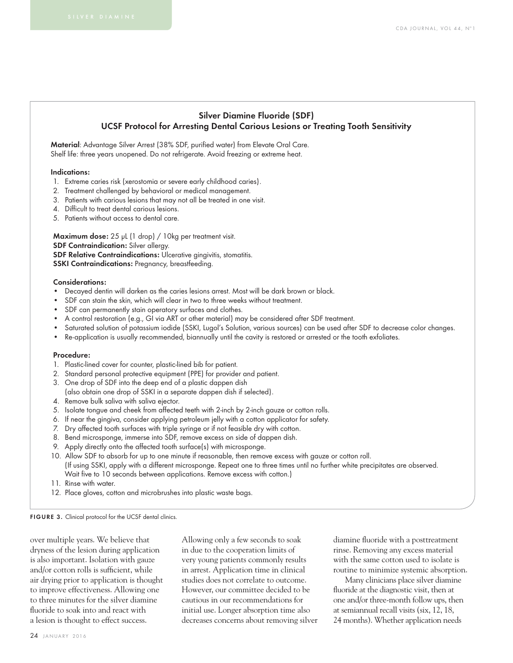#### Silver Diamine Fluoride (SDF) UCSF Protocol for Arresting Dental Carious Lesions or Treating Tooth Sensitivity

Material: Advantage Silver Arrest (38% SDF, purified water) from Elevate Oral Care. Shelf life: three years unopened. Do not refrigerate. Avoid freezing or extreme heat.

#### Indications:

- 1. Extreme caries risk (xerostomia or severe early childhood caries).
- 2. Treatment challenged by behavioral or medical management.
- 3. Patients with carious lesions that may not all be treated in one visit.
- 4. Difficult to treat dental carious lesions.
- 5. Patients without access to dental care.

Maximum dose: 25 μL (1 drop) / 10kg per treatment visit. SDF Contraindication: Silver allergy.

SDF Relative Contraindications: Ulcerative gingivitis, stomatitis.

SSKI Contraindications: Pregnancy, breastfeeding.

#### Considerations:

- Decayed dentin will darken as the caries lesions arrest. Most will be dark brown or black.
- SDF can stain the skin, which will clear in two to three weeks without treatment.
- SDF can permanently stain operatory surfaces and clothes.
- A control restoration (e.g., GI via ART or other material) may be considered after SDF treatment.
- Saturated solution of potassium iodide (SSKI, Lugol's Solution, various sources) can be used after SDF to decrease color changes.
- Re-application is usually recommended, biannually until the cavity is restored or arrested or the tooth exfoliates.

#### Procedure:

- 1. Plastic-lined cover for counter, plastic-lined bib for patient.
- 2. Standard personal protective equipment (PPE) for provider and patient.
- 3. One drop of SDF into the deep end of a plastic dappen dish (also obtain one drop of SSKI in a separate dappen dish if selected).
- 4. Remove bulk saliva with saliva ejector.
- 5. Isolate tongue and cheek from affected teeth with 2-inch by 2-inch gauze or cotton rolls.
- 6. If near the gingiva, consider applying petroleum jelly with a cotton applicator for safety.
- 7. Dry affected tooth surfaces with triple syringe or if not feasible dry with cotton.
- 8. Bend microsponge, immerse into SDF, remove excess on side of dappen dish.
- 9. Apply directly onto the affected tooth surface(s) with microsponge.
- 10. Allow SDF to absorb for up to one minute if reasonable, then remove excess with gauze or cotton roll. (If using SSKI, apply with a different microsponge. Repeat one to three times until no further white precipitates are observed. Wait five to 10 seconds between applications. Remove excess with cotton.)
- 11. Rinse with water.
- 12. Place gloves, cotton and microbrushes into plastic waste bags.

FIGURE 3. Clinical protocol for the UCSF dental clinics.

over multiple years. We believe that dryness of the lesion during application is also important. Isolation with gauze and/or cotton rolls is sufficient, while air drying prior to application is thought to improve effectiveness. Allowing one to three minutes for the silver diamine fluoride to soak into and react with a lesion is thought to effect success.

Allowing only a few seconds to soak in due to the cooperation limits of very young patients commonly results in arrest. Application time in clinical studies does not correlate to outcome. However, our committee decided to be cautious in our recommendations for initial use. Longer absorption time also decreases concerns about removing silver diamine fluoride with a posttreatment rinse. Removing any excess material with the same cotton used to isolate is routine to minimize systemic absorption.

Many clinicians place silver diamine fluoride at the diagnostic visit, then at one and/or three-month follow ups, then at semiannual recall visits (six, 12, 18, 24 months). Whether application needs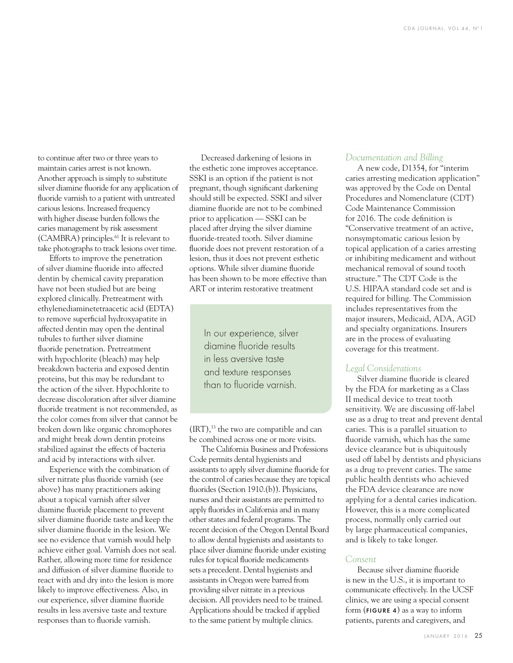to continue after two or three years to maintain caries arrest is not known. Another approach is simply to substitute silver diamine fluoride for any application of fluoride varnish to a patient with untreated carious lesions. Increased frequency with higher disease burden follows the caries management by risk assessment (CAMBRA) principles.61 It is relevant to take photographs to track lesions over time.

Efforts to improve the penetration of silver diamine fluoride into affected dentin by chemical cavity preparation have not been studied but are being explored clinically. Pretreatment with ethylenediaminetetraacetic acid (EDTA) to remove superficial hydroxyapatite in affected dentin may open the dentinal tubules to further silver diamine fluoride penetration. Pretreatment with hypochlorite (bleach) may help breakdown bacteria and exposed dentin proteins, but this may be redundant to the action of the silver. Hypochlorite to decrease discoloration after silver diamine fluoride treatment is not recommended, as the color comes from silver that cannot be broken down like organic chromophores and might break down dentin proteins stabilized against the effects of bacteria and acid by interactions with silver.

Experience with the combination of silver nitrate plus fluoride varnish (see above) has many practitioners asking about a topical varnish after silver diamine fluoride placement to prevent silver diamine fluoride taste and keep the silver diamine fluoride in the lesion. We see no evidence that varnish would help achieve either goal. Varnish does not seal. Rather, allowing more time for residence and diffusion of silver diamine fluoride to react with and dry into the lesion is more likely to improve effectiveness. Also, in our experience, silver diamine fluoride results in less aversive taste and texture responses than to fluoride varnish.

Decreased darkening of lesions in the esthetic zone improves acceptance. SSKI is an option if the patient is not pregnant, though significant darkening should still be expected. SSKI and silver diamine fluoride are not to be combined prior to application — SSKI can be placed after drying the silver diamine fluoride-treated tooth. Silver diamine fluoride does not prevent restoration of a lesion, thus it does not prevent esthetic options. While silver diamine fluoride has been shown to be more effective than ART or interim restorative treatment

> In our experience, silver diamine fluoride results in less aversive taste and texture responses than to fluoride varnish

 $(IRT),<sup>33</sup>$  the two are compatible and can be combined across one or more visits.

The California Business and Professions Code permits dental hygienists and assistants to apply silver diamine fluoride for the control of caries because they are topical fluorides (Section 1910.(b)). Physicians, nurses and their assistants are permitted to apply fluorides in California and in many other states and federal programs. The recent decision of the Oregon Dental Board to allow dental hygienists and assistants to place silver diamine fluoride under existing rules for topical fluoride medicaments sets a precedent. Dental hygienists and assistants in Oregon were barred from providing silver nitrate in a previous decision. All providers need to be trained. Applications should be tracked if applied to the same patient by multiple clinics.

#### *Documentation and Billing*

A new code, D1354, for "interim caries arresting medication application" was approved by the Code on Dental Procedures and Nomenclature (CDT) Code Maintenance Commission for 2016. The code definition is "Conservative treatment of an active, nonsymptomatic carious lesion by topical application of a caries arresting or inhibiting medicament and without mechanical removal of sound tooth structure." The CDT Code is the U.S. HIPAA standard code set and is required for billing. The Commission includes representatives from the major insurers, Medicaid, ADA, AGD and specialty organizations. Insurers are in the process of evaluating coverage for this treatment.

#### *Legal Considerations*

Silver diamine fluoride is cleared by the FDA for marketing as a Class II medical device to treat tooth sensitivity. We are discussing off-label use as a drug to treat and prevent dental caries. This is a parallel situation to fluoride varnish, which has the same device clearance but is ubiquitously used off label by dentists and physicians as a drug to prevent caries. The same public health dentists who achieved the FDA device clearance are now applying for a dental caries indication. However, this is a more complicated process, normally only carried out by large pharmaceutical companies, and is likely to take longer.

#### *Consent*

Because silver diamine fluoride is new in the U.S., it is important to communicate effectively. In the UCSF clinics, we are using a special consent form (FIGURE 4) as a way to inform patients, parents and caregivers, and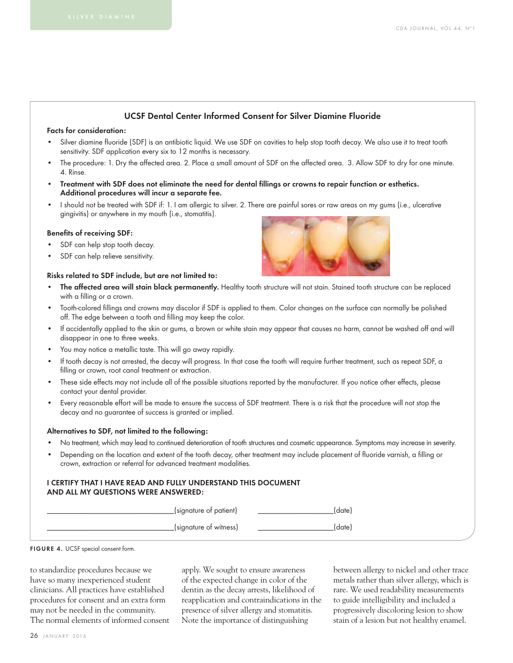#### UCSF Dental Center Informed Consent for Silver Diamine Fluoride

#### Facts for consideration:

- Silver diamine fluoride (SDF) is an antibiotic liquid. We use SDF on cavities to help stop tooth decay. We also use it to treat tooth sensitivity. SDF application every six to 12 months is necessary.
- The procedure: 1. Dry the affected area. 2. Place a small amount of SDF on the affected area. 3. Allow SDF to dry for one minute. 4. Rinse.
- Treatment with SDF does not eliminate the need for dental fillings or crowns to repair function or esthetics. Additional procedures will incur a separate fee.
- I should not be treated with SDF if: 1. I am allergic to silver. 2. There are painful sores or raw areas on my gums (i.e., ulcerative gingivitis) or anywhere in my mouth (i.e., stomatitis).

#### Benefits of receiving SDF:

- SDF can help stop tooth decay.
- SDF can help relieve sensitivity.

#### Risks related to SDF include, but are not limited to:

- The affected area will stain black permanently. Healthy tooth structure will not stain. Stained tooth structure can be replaced with a filling or a crown.
- Tooth-colored fillings and crowns may discolor if SDF is applied to them. Color changes on the surface can normally be polished off. The edge between a tooth and filling may keep the color.
- If accidentally applied to the skin or gums, a brown or white stain may appear that causes no harm, cannot be washed off and will disappear in one to three weeks.
- You may notice a metallic taste. This will go away rapidly.
- If tooth decay is not arrested, the decay will progress. In that case the tooth will require further treatment, such as repeat SDF, a filling or crown, root canal treatment or extraction.
- These side effects may not include all of the possible situations reported by the manufacturer. If you notice other effects, please contact your dental provider.
- Every reasonable effort will be made to ensure the success of SDF treatment. There is a risk that the procedure will not stop the decay and no guarantee of success is granted or implied.

#### Alternatives to SDF, not limited to the following:

- No treatment, which may lead to continued deterioration of tooth structures and cosmetic appearance. Symptoms may increase in severity.
- Depending on the location and extent of the tooth decay, other treatment may include placement of fluoride varnish, a filling or crown, extraction or referral for advanced treatment modalities.

#### I CERTIFY THAT I HAVE READ AND FULLY UNDERSTAND THIS DOCUMENT AND ALL MY QUESTIONS WERE ANSWERED:

| (signature of patient) |  |
|------------------------|--|
| (signature of witness) |  |



to standardize procedures because we have so many inexperienced student clinicians. All practices have established procedures for consent and an extra form may not be needed in the community. The normal elements of informed consent apply. We sought to ensure awareness of the expected change in color of the dentin as the decay arrests, likelihood of reapplication and contraindications in the presence of silver allergy and stomatitis. Note the importance of distinguishing

between allergy to nickel and other trace metals rather than silver allergy, which is rare. We used readability measurements to guide intelligibility and included a progressively discoloring lesion to show stain of a lesion but not healthy enamel.

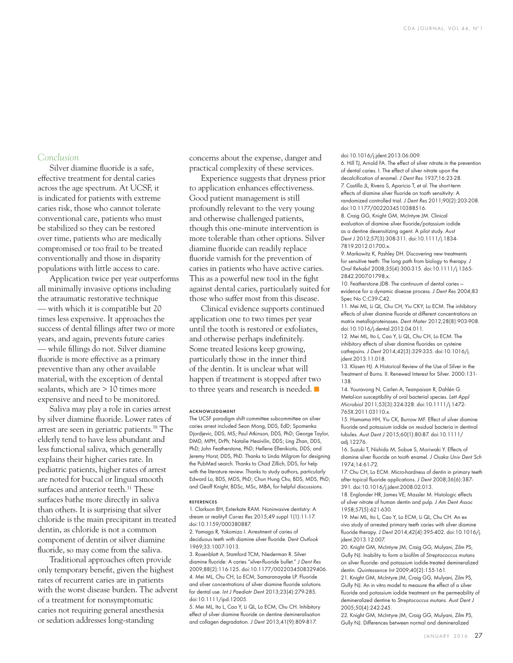#### *Conclusion*

Silver diamine fluoride is a safe, effective treatment for dental caries across the age spectrum. At UCSF, it is indicated for patients with extreme caries risk, those who cannot tolerate conventional care, patients who must be stabilized so they can be restored over time, patients who are medically compromised or too frail to be treated conventionally and those in disparity populations with little access to care.

Application twice per year outperforms all minimally invasive options including the atraumatic restorative technique — with which it is compatible but 20 times less expensive. It approaches the success of dental fillings after two or more years, and again, prevents future caries — while fillings do not. Silver diamine fluoride is more effective as a primary preventive than any other available material, with the exception of dental sealants, which are > 10 times more expensive and need to be monitored.

Saliva may play a role in caries arrest by silver diamine fluoride. Lower rates of arrest are seen in geriatric patients.<sup>38</sup> The elderly tend to have less abundant and less functional saliva, which generally explains their higher caries rate. In pediatric patients, higher rates of arrest are noted for buccal or lingual smooth surfaces and anterior teeth.<sup>31</sup> These surfaces bathe more directly in saliva than others. It is surprising that silver chloride is the main precipitant in treated dentin, as chloride is not a common component of dentin or silver diamine fluoride, so may come from the saliva.

Traditional approaches often provide only temporary benefit, given the highest rates of recurrent caries are in patients with the worst disease burden. The advent of a treatment for nonsymptomatic caries not requiring general anesthesia or sedation addresses long-standing

concerns about the expense, danger and practical complexity of these services.

Experience suggests that dryness prior to application enhances effectiveness. Good patient management is still profoundly relevant to the very young and otherwise challenged patients, though this one-minute intervention is more tolerable than other options. Silver diamine fluoride can readily replace fluoride varnish for the prevention of caries in patients who have active caries. This as a powerful new tool in the fight against dental caries, particularly suited for those who suffer most from this disease.

Clinical evidence supports continued application one to two times per year until the tooth is restored or exfoliates, and otherwise perhaps indefinitely. Some treated lesions keep growing, particularly those in the inner third of the dentin. It is unclear what will happen if treatment is stopped after two to three years and research is needed. ■

#### ACKNOWLEDGMENT

The UCSF paradigm shift committee subcommittee on silver caries arrest included Sean Mong, DDS, EdD; Spomenka Djordjevic, DDS, MS; Paul Atkinson, DDS, PhD; George Taylor, DMD, MPH, DrPh; Natalie Heaivilin, DDS; Ling Zhan, DDS, PhD; John Featherstone, PhD; Hellene Ellenikiotis, DDS; and Jeremy Horst, DDS, PhD. Thanks to Linda Milgrom for designing the PubMed search. Thanks to Chad Zillich, DDS, for help with the literature review. Thanks to study authors, particularly Edward Lo, BDS, MDS, PhD; Chun Hung Chu, BDS, MDS, PhD; and Geoff Knight, BDSc, MSc, MBA, for helpful discussions.

#### REFERENCES

1. Clarkson BH, Exterkate RAM. Noninvasive dentistry: A dream or reality? Caries Res 2015;49 suppl 1(1):11-17. doi:10.1159/000380887.

2. Yamaga R, Yokomizo I. Arrestment of caries of deciduous teeth with diamine silver fluoride. Dent Outlook 1969;33:1007-1013.

3. Rosenblatt A, Stamford TCM, Niederman R. Silver diamine fluoride: A caries "silver-fluoride bullet." J Dent Res 2009;88(2):116-125. doi:10.1177/0022034508329406. 4. Mei ML, Chu CH, Lo ECM, Samaranayake LP. Fluoride and silver concentrations of silver diamine fluoride solutions for dental use. Int J Paediatr Dent 2013;23(4):279-285. doi:10.1111/ipd.12005.

5. Mei ML, Ito L, Cao Y, Li QL, Lo ECM, Chu CH. Inhibitory effect of silver diamine fluoride on dentine demineralisation and collagen degradation. J Dent 2013;41(9):809-817.

doi:10.1016/j.jdent.2013.06.009.

6. Hill TJ, Arnold FA. The effect of silver nitrate in the prevention of dental caries. I. The effect of silver nitrate upon the decalcification of enamel. J Dent Res 1937;16:23-28. 7. Castillo JL, Rivera S, Aparicio T, et al. The short-term effects of diamine silver fluoride on tooth sensitivity: A randomized controlled trial. J Dent Res 2011;90(2):203-208. doi:10.1177/0022034510388516. 8. Craig GG, Knight GM, McIntyre JM. Clinical

evaluation of diamine silver fluoride/potassium iodide as a dentine desensitizing agent. A pilot study. Aust Dent J 2012;57(3):308-311. doi:10.1111/j.1834- 7819.2012.01700.x.

9. Markowitz K, Pashley DH. Discovering new treatments for sensitive teeth: The long path from biology to therapy. J Oral Rehabil 2008;35(4):300-315. doi:10.1111/j.1365- 2842.2007.01798.x.

10. Featherstone JDB. The continuum of dental caries evidence for a dynamic disease process. J Dent Res 2004;83 Spec No C:C39-C42.

11. Mei ML, Li QL, Chu CH, Yiu CKY, Lo ECM. The inhibitory effects of silver diamine fluoride at different concentrations on matrix metalloproteinases. Dent Mater 2012;28(8):903-908. doi:10.1016/j.dental.2012.04.011.

12. Mei ML, Ito L, Cao Y, Li QL, Chu CH, Lo ECM. The inhibitory effects of silver diamine fluorides on cysteine cathepsins. J Dent 2014;42(3):329-335. doi:10.1016/j. jdent.2013.11.018.

13. Klasen HJ. A Historical Review of the Use of Silver in the Treatment of Burns. II. Renewed Interest for Silver. 2000:131- 138.

14. Youravong N, Carlen A, Teanpaisan R, Dahlén G. Metal-ion susceptibility of oral bacterial species. Lett Appl Microbiol 2011;53(3):324-328. doi:10.1111/j.1472- 765X.2011.03110.x.

15. Hamama HH, Yiu CK, Burrow MF. Effect of silver diamine fluoride and potassium iodide on residual bacteria in dentinal tubules. Aust Dent J 2015;60(1):80-87. doi:10.1111/ adj.12276.

16. Suzuki T, Nishida M, Sobue S, Moriwaki Y. Effects of diamine silver fluoride on tooth enamel. J Osaka Univ Dent Sch 1974;14:61-72.

17. Chu CH, Lo ECM. Micro-hardness of dentin in primary teeth after topical fluoride applications. J Dent 2008;36(6):387-391. doi:10.1016/j.jdent.2008.02.013.

18. Englander HR, James VE, Massler M. Histologic effects of silver nitrate of human dentin and pulp. J Am Dent Assoc 1958;57(5):621-630.

19. Mei ML, Ito L, Cao Y, Lo ECM, Li QL, Chu CH. An ex vivo study of arrested primary teeth caries with silver diamine fluoride therapy. J Dent 2014;42(4):395-402. doi:10.1016/j. jdent.2013.12.007.

20. Knight GM, McIntyre JM, Craig GG, Mulyani, Zilm PS, Gully NJ. Inability to form a biofilm of Streptococcus mutans on silver fluoride- and potassium iodide-treated demineralized dentin. Quintessence Int 2009;40(2):155-161.

21. Knight GM, McIntyre JM, Craig GG, Mulyani, Zilm PS, Gully NJ. An in vitro model to measure the effect of a silver fluoride and potassium iodide treatment on the permeability of demineralized dentine to Streptococcus mutans. Aust Dent J 2005;50(4):242-245.

22. Knight GM, McIntyre JM, Craig GG, Mulyani, Zilm PS, Gully NJ. Differences between normal and demineralized